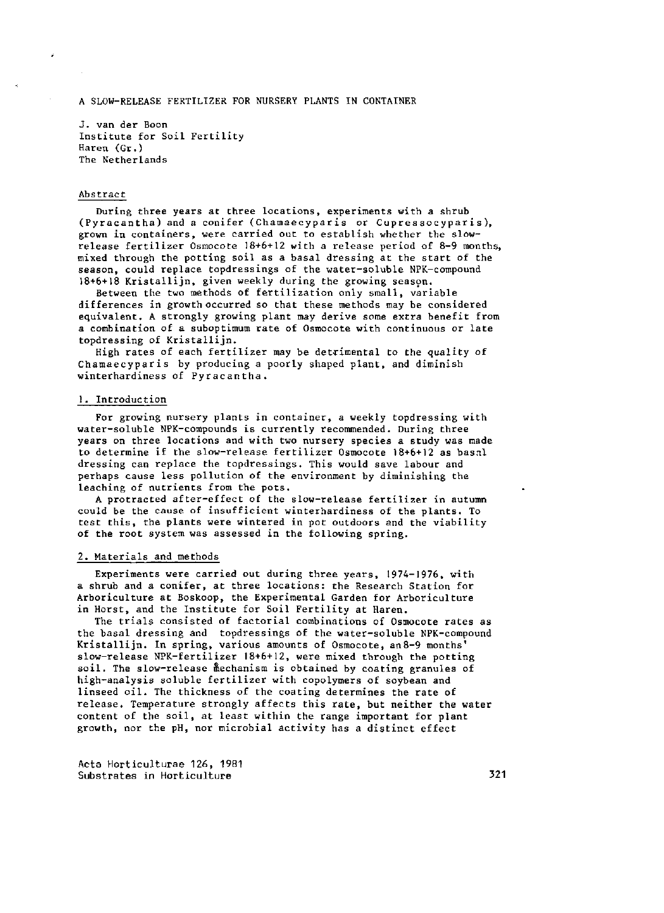A SLOW-RELEASE FERTILIZER FOR NURSERY PLANTS IN CONTAINER

J. van der Boon Institute for Soil Fertility Haren (Gr.) The Netherlands

#### Abstract

During three years at three locations, experiments with a shrub (Pyracantha) and a conifer ( Chamaecyparis or Cupre ssocyparis), grown in containers, were carried out to establish whether the slowrelease fertilizer Osmocote 18+6+12 with a release period of 8-9 months, mixed through the potting soil as a basal dressing at the start of the season, could replace topdressings of the water-soluble NPK-compound 18+6+18 Kristallijn, given weekly during the growing season.

Between the two methods of fertilization only small, variable differences in growth occurred so that these methods may be considered equivalent. A strongly growing plant may derive some extra benefit from a combination of a suboptimum rate of Osmocote with continuous or late topdressing of Kristallijn.

High rates of each fertilizer may be detrimental to the quality of Chamaecypar is by producing a poorly shaped plant, and diminish winterhardiness of Pyracantha.

### 1. Introduction

For growing nursery plants in container, a weekly topdressing with water-soluble NPK-compounds is currently recommended. During three years on three locations and with two nursery species a study was made to determine if the slow-release fertilizer Osmocote 18+6+12 as basnl dressing can replace the topdressings. This would save labour and perhaps cause less pollution of the environment by diminishing the leaching of nutrients from the pots.

A protracted after-effect of the slow-release fertilizer in autumn could be the cause of insufficient winterhardiness of the plants. To test this, the plants were wintered in pot outdoors and the viability of the root system was assessed in the following spring.

#### 2. Materials and methods

Experiments were carried out during three years, 1974-1976, with a shrub and a conifer, at three locations: the Research Station for Arboriculture at Boskoop, the Experimental Garden for Arboriculture in Horst, and the Institute for Soil Fertility at Haren.

The trials consisted of factorial combinations of Osmocote rates as the basal dressing and topdressings of the water-soluble NPK-Kristallijn. In spring, various amounts of Osmocote, an8-9 slow-release NPK-fertilizer 18+6+12, were mixed through the potting soil. The slow-release mechanism is obtained by coating granules of high-analysis soluble fertilizer with copolymers of soybean and linseed oil. The thickness of the coating determines the rate of release. Temperature strongly affects this rate, but neither the water content of the soil, at least within the range important for plant growth, nor the pH, nor microbial activity has a distinct effect

Acta Horticulturae 126, 1981 Substrates in Horticulture 321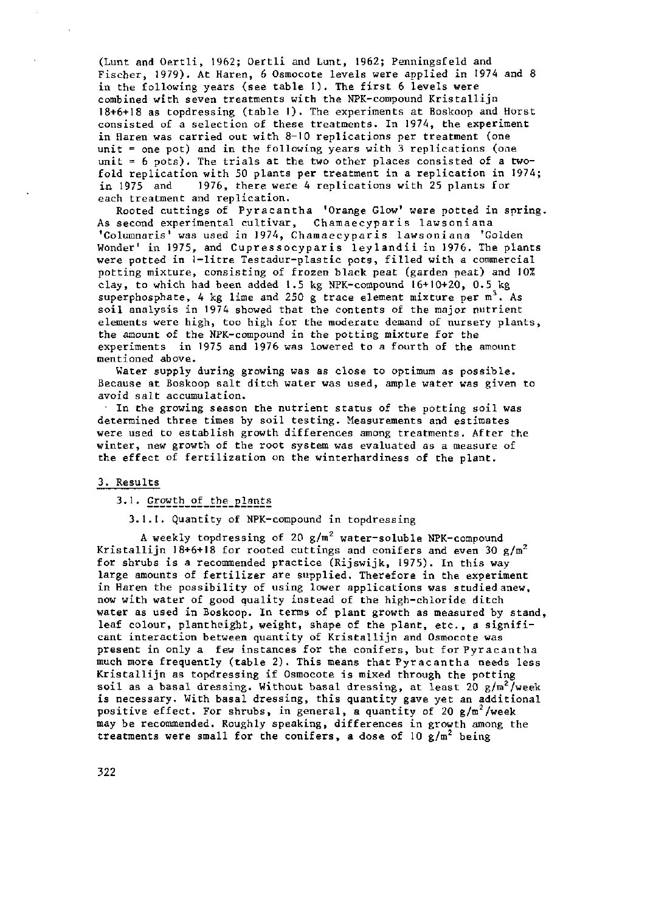(Lunt and Oertli, 1962; Oertli and Lunt, 1962; Penningsfeld and Fischer, 1979). At Haren, 6 Osmocote levels were applied in 1974 and 8 in the following years (see table 1). The first 6 levels were combined with seven treatments with the NPK-compound Kristallijn 18+6+18 as topdressing (table I). The experiments at Boskoop and Horst consisted of a selection of these treatments. In 1974, the experiment in Haren was carried out with 8-10 replications per treatment (one unit = one pot) and in the following years with 3 replications (one unit  $= 6$  pots). The trials at the two other places consisted of a twofold replication with 50 plants per treatment in a replication in 1974; in 1975 and 1976, there were 4 replications with 25 plants for each treatment and replication.

Rooted cuttings of Pyracantha 'Orange Glow' were potted in spring. As second experimental cultivar, Chamaecyparis lawsoniana 'Columnaris' was used in 1974, Chamaecyparis lawsoniana 'Golden Wonder' in 1975, and Cupressocyparis leylandii in 1976. The plants were potted in 1-litre Testadur-plastic pots, filled with a commercial potting mixture, consisting of frozen black peat (garden peat) and 10% clay, to which had been added 1.5 kg NPK-compound 16+10+20, 0.5 kg superphosphate, 4 kg lime and 250 g trace element mixture per  $m<sup>3</sup>$ . As soil analysis in 1974 showed that the contents of the major nutrient elements were high, too high for the moderate demand of nursery plants, the amount of the NPK-compound in the potting mixture for the experiments in 1975 and 1976 was lowered to a fourth of the amount mentioned above.

Water supply during growing was as close to optimum as possible. Because at Boskoop salt ditch water was used, ample water was given to avoid salt accumulation.

In the growing season the nutrient status of the potting soil was determined three times by soil testing. Measurements and estimates were used to establish growth differences among treatments. After the winter, new growth of the root system was evaluated as a measure of the effect of fertilization on the winterhardiness of the plant.

#### 3. Results

## 3.1. Growth of the plants

## 3.1.1. Quantity of NPK-compound in topdressing

A weekly topdressing of 20 g/m<sup>2</sup> water-soluble NPK-c Kristallijn 18+6+18 for rooted cuttings and conifers and even 30  $g/m^2$ for shrubs is a recommended practice (Rijswijk, 1975). In this way large amounts of fertilizer are supplied. Therefore in the experiment in Haren the possibility of using lower applications was studied anew, now with water of good quality instead of the high-chloride ditch water as used in Boskoop. In terms of plant growth as measured by stand, leaf colour, plantheight, weight, shape of the plant, etc., a significant interaction between quantity of Kristallijn and Osmocote was present in only a few instances for the conifers, but for Pyracantha much more frequently (table 2). This means that Pyracantha needs less Kristallijn as topdressing if Osmocote is mixed through the potting soil as a basal dressing. Without basal dressing, at least  $20 \text{ g/m}^2$ /week is necessary. With basal dressing, this quantity gave yet an additional positive effect. For shrubs, in general, a quantity of 20  $g/m^2$ /week may be recommended. Roughly speaking, differences in growth among the treatments were small for the conifers, a dose of  $10$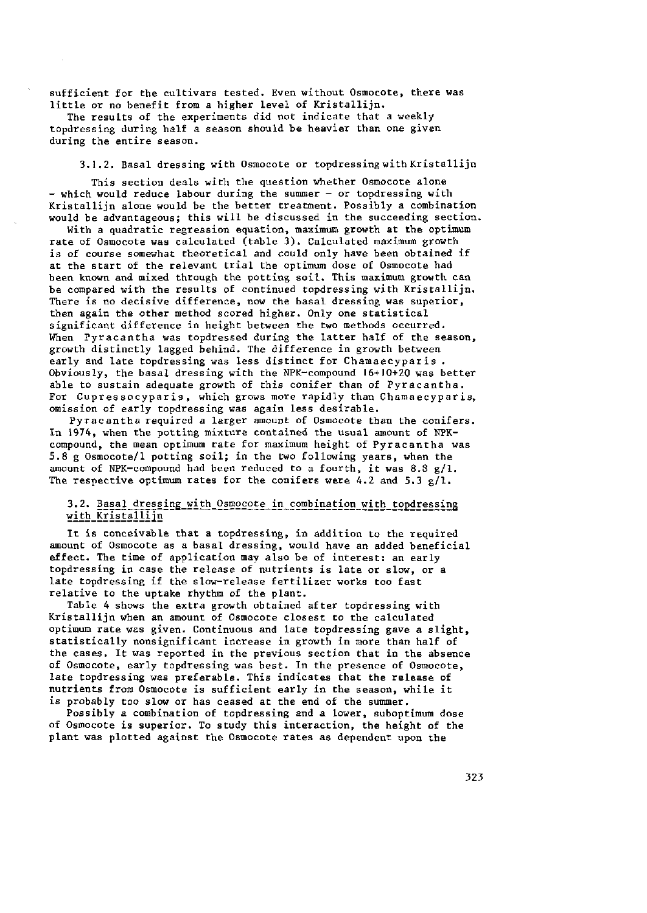sufficient for the cultivars tested. Even without Osmocote, there was little or no benefit from a higher level of Kristallijn.

The results of the experiments did not indicate that a weekly topdressing during half a season should be heavier than one given during the entire season.

3.1.2. Basal dressing with Osmocote or topdressing with Kristallijn

This section deals with the question whether Osmocote alone - which would reduce labour during the summer - or topdressing with Kristallijn alone would be the better treatment. Possibly a combination would be advantageous; this will be discussed in the succeeding section.

With a quadratic regression equation, maximum growth at the optimum rate of Osmocote was calculated (table 3). Calculated maximum growth is of course somewhat theoretical and could only have been obtained if at the start of the relevant trial the optimum dose of Osmocote had been known and mixed through the potting soil. This maximum growth can be compared with the results of continued topdressing with Kristallijn. There is no decisive difference, now the basal dressing was superior, then again the other method scored higher. Only one statistical significant difference in height between the two methods occurred. When Pyracantha was topdressed during the latter half of the season, growth distinctly lagged behind. The difference in growth between early and late topdressing was less distinct for Chamaecyparis . Obviously, the basal dressing with the NPK-compound 16+10+20 was better able to sustain adequate growth of this conifer than of Pyracantha. For Cupressocyparis, which grows more rapidly than Chamaecyparis, omission of early topdressing was again less desirable.

Pyracantha required a larger amount of Osmocote than the conifers. In 1974, when the potting mixture contained the usual amount of NPKcompound, the mean optimum rate for maximum height of Pyracantha was 5.8 g Osmocote/1 potting soil; in the two following years, when the amount of NPK-compound had been reduced to a fourth, it was  $8.8 g/1$ . The respective optimum rates for the conifers were 4.2 and 5.3  $g/1$ .

## 3.2. Basal\_dressing\_with\_0smocote\_in\_combination\_with\_topdressing with Kristallijn

It is conceivable that a topdressing, in addition to the required amount of Osmocote as a basal dressing, would have an added beneficial effect. The time of application may also be of interest: an early topdressing in case the release of nutrients is late or slow, or a late topdressing if the slow-release fertilizer works too fast relative to the uptake rhythm of the plant.

Table 4 shows the extra growth obtained after topdressing with Kristallijn when an amount of Osmocote closest to the calculated optimum rate was given. Continuous and late topdressing gave a slight, statistically nonsignificant increase in growth in more than half of the cases. It was reported in the previous section that in the absence of Osmocote, early topdressing was best. In the presence of Osmocote, late topdressing was preferable. This indicates that the release of nutrients from Osmocote is sufficient early in the season, while it is probably too slow or has ceased at the end of the summer.

Possibly a combination of topdressing and a lower, suboptimum dose of Osmocote is superior. To study this interaction, the height of the plant was plotted against the Osmocote rates as dependent upon the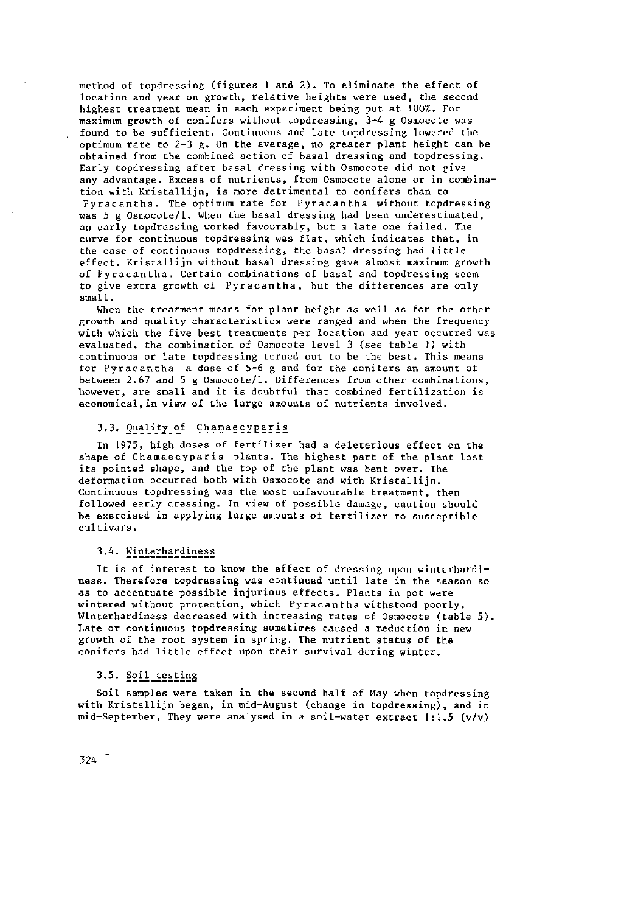method of topdressing (figures 1 and 2). To eliminate the effect of location and year on growth, relative heights were used, the second highest treatment mean in each experiment being put at 100%. For maximum growth of conifers without topdressing, 3-4 g Osmocote was found to be sufficient. Continuous and late topdressing lowered the optimum rate to  $2-3$  g. On the average, no greater plant height can be obtained from the combined action of basal dressing and topdressing. Early topdressing after basal dressing with Osmocote did not give any advantage. Excess of nutrients, from Osmocote alone or in combination with Kristallijn, is more detrimental to conifers than to Pyracantha. The optimum rate for Pyracantha without topdressing was 5 g Osmocote/1. When the basal dressing had been underestimated, an early topdressing worked favourably, but a late one failed. The curve for continuous topdressing was flat, which indicates that, in the case of continuous topdressing, the basal dressing had little effect. Kristallijn without basal dressing gave almost maximum growth of Pyracantha. Certain combinations of basal and topdressing seem to give extra growth of Pyracantha, but the differences are only small.

When the treatment means for plant height as well as for the other growth and quality characteristics were ranged and when the frequency with which the five best treatments per location and year occurred was evaluated, the combination of Osmocote level 3 (see table 1) with continuous or late topdressing turned out to be the best. This means for Pyracantha a dose of 5-6 g and for the conifers an amount of between 2.67 and 5 g Osmocote/1. Differences from other combinations, however, are small and it is doubtful that combined fertilization is economical,in view of the large amounts of nutrients involved.

## 3.3. Quality\_of\_Chamaecyparis

In 1975, high doses of fertilizer had a deleterious effect on the shape of Chamaecyparis plants. The highest part of the plant lost its pointed shape, and the top of the plant was bent over. The deformation occurred both with Osmocote and with Kristallijn. Continuous topdressing was the most unfavourable treatment, then followed early dressing. In view of possible damage, caution should be exercised in applying large amounts of fertilizer to susceptible cultivars.

# 3.4. Winterhardiness

It is of interest to know the effect of dressing upon winterhardiness. Therefore topdressing was continued until late in the season so as to accentuate possible injurious effects. Plants in pot were wintered without protection, which Pyracantha withstood poorly. Winterhardiness decreased with increasing rates of Osmocote (table 5). Late or continuous topdressing sometimes caused a reduction in new growth of the root system in spring. The nutrient status of the conifers had little effect upon their survival during winter.

#### 3.5. Soil testing

Soil samples were taken in the second half of May when topdressing with Kristallijn began, in mid-August (change in topdressing), and in mid-September. They were analysed in a soil-water extract  $1:1:5$  (v/v)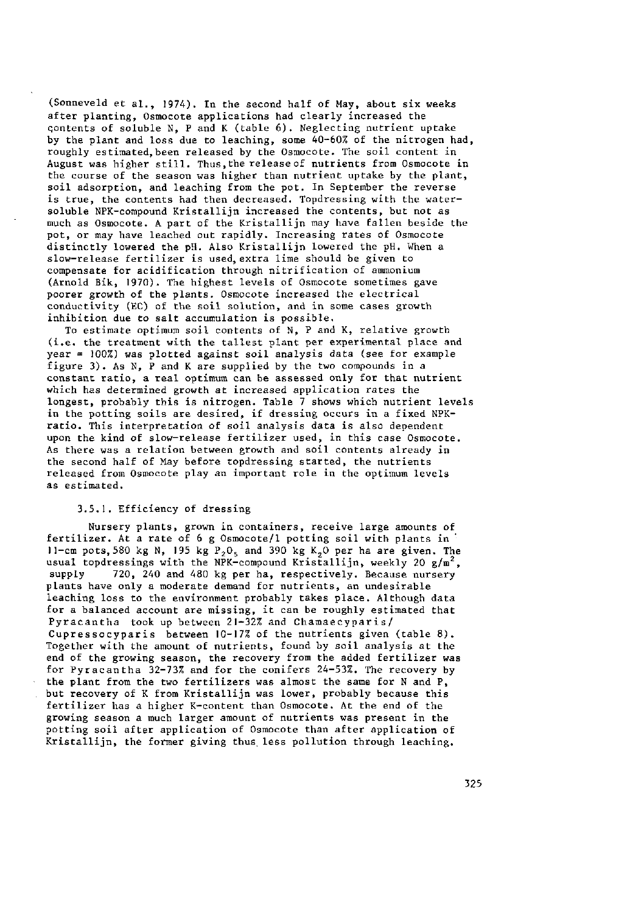(Sonneveld et al., 1974). In the second half of May, about six weeks after planting, Osmocote applications had clearly increased the contents of soluble N, P and K (table 6). Neglecting nutrient uptake by the plant and loss due to leaching, some 40-60% of the nitrogen had, roughly estimated, been released by the Osmocote. The soil content in August was higher still. Thus,the release of nutrients from Osmocote in the course of the season was higher than nutrient uptake by the plant, soil adsorption, and leaching from the pot. In September the reverse is true, the contents had then decreased. Topdressing with the watersoluble NPK-compound Kristallijn increased the contents, but not as much as Osmocote. A part of the Kristallijn may have fallen beside the pot, or may have leached out rapidly. Increasing rates of Osmocote distinctly lowered the pH. Also Kristallijn lowered the pH. When a slow-release fertilizer is used,extra lime should be given to compensate for acidification through nitrification of ammonium (Arnold Bik, 1970). The highest levels of Osmocote sometimes gave poorer growth of the plants. Osmocote increased the electrical conductivity (EC) of the soil solution, and in some cases growth inhibition due to salt accumulation is possible.

To estimate optimum soil contents of N, P and K, relative growth (i.e. the treatment with the tallest plant per experimental place and year = 100%) was plotted against soil analysis data (see for example figure 3). As N, P and K are supplied by the two compounds in a constant ratio, a real optimum can be assessed only for that nutrient which has determined growth at increased application rates the longest, probably this is nitrogen. Table  $\overline{7}$  shows which nutrient levels in the potting soils are desired, if dressing occurs in a fixed NPKratio. This interpretation of soil analysis data is also dependent upon the kind of slow-release fertilizer used, in this case Osmocote. As there was a relation between growth and soil contents already in the second half of May before topdressing started, the nutrients released from Osmocote play an important role in the optimum levels as estimated.

### 3.5.1. Efficiency of dressing

Nursery plants, grown in containers, receive large amounts of fertilizer. At a rate of 6 g Osmocote/1 potting soil with plants in 11-cm pots, 580 kg N, 195 kg  $P_2O_5$  and 390 kg K<sub>2</sub>0 per ha are given. The usual topdressings with the NPK-compound Kristallijn, weekly 20  $g/m^2$ , supply 720, 240 and 480 kg per ha, respectively. Because nursery 720, 240 and 480 kg per ha, respectively. Because nursery plants have only a moderate demand for nutrients, an undesirable leaching loss to the environment probably takes place. Although data for a balanced account are missing, it can be roughly estimated that Pyracantha took up between 21-32% and Chamaecyparis/ Cupressocyparis between 10-17% of the nutrients given (table 8). Together with the amount of nutrients, found by soil analysis at the end of the growing season, the recovery from the added fertilizer was for Pyracantha 32-73% and for the conifers 24-53%. The recovery by the plant from the two fertilizers was almost the same for N and P, but recovery of K from Kristallijn was lower, probably because this fertilizer has a higher K-content than Osmocote. At the end of the growing season a much larger amount of nutrients was present in the potting soil after application of Osmocote than after application of Kristallijn, the former giving thus less pollution through leaching.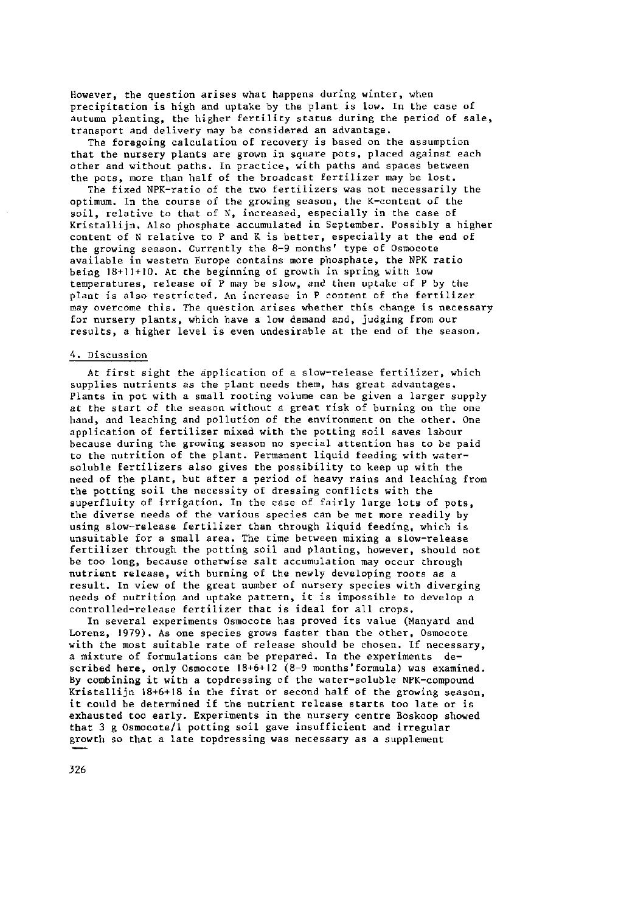However, the question arises what happens during winter, when precipitation is high and uptake by the plant is low. In the case of autumn planting, the higher fertility status during the period of sale, transport and delivery may be considered an advantage.

The foregoing calculation of recovery is based on the assumption that the nursery plants are grown in square pots, placed against each other and without paths. In practice, with paths and spaces between the pots, more than half of the broadcast fertilizer may be lost.

The fixed NPK-ratio of the two fertilizers was not necessarily the optimum. In the course of the growing season, the K-content of the soil, relative to that of N, increased, especially in the case of Kristallijn. Also phosphate accumulated in September. Possibly a higher content of N relative to P and K is better, especially at the end of the growing season. Currently the 8-9 months' type of Osmocote available in western Europe contains more phosphate, the NPK ratio being 18+11+10. At the beginning of growth in spring with low temperatures, release of P may be slow, and then uptake of P by the plant is also restricted. An increase in P content of the fertilizer may overcome this. The question arises whether this change is necessary for nursery plants, which have a low demand and, judging from our results, a higher level is even undesirable at the end of the season.

### 4. Discussion

At first sight the application of a slow-release fertilizer, which supplies nutrients as the plant needs them, has great advantages. Plants in pot with a small rooting volume can be given a larger supply at the start of the season without a great risk of burning on the one hand, and leaching and pollution of the environment on the other. One application of fertilizer mixed with the potting soil saves labour because during the growing season no special attention has to be paid to the nutrition of the plant. Permanent liquid feeding with watersoluble fertilizers also gives the possibility to keep up with the need of the plant, but after a period of heavy rains and leaching from the potting soil the necessity of dressing conflicts with the superfluity of irrigation. In the case of fairly large lots of pots, the diverse needs of the various species can be met more readily by using slow-release fertilizer than through liquid feeding, which is unsuitable for a small area. The time between mixing a slow-release fertilizer through the potting soil and planting, however, should not be too long, because otherwise salt accumulation may occur through nutrient release, with burning of the newly developing roots as a result. In view of the great number of nursery species with diverging needs of nutrition and uptake pattern, it is impossible to develop a controlled-release fertilizer that is ideal for all crops.

In several experiments Osmocote has proved its value (Manyard and Lorenz, 1979). As one species grows faster than the other, Osmocote with the most suitable rate of release should be chosen. If necessary, a mixture of formulations can be prepared. In the experiments described here, only Osmocote 18+6+12 (8-9 months'formula) was examined. By combining it with a topdressing of the water-soluble NPK-compound Kristallijn 18+6+18 in the first or second half of the growing season, it could be determined if the nutrient release starts too late or is exhausted too early. Experiments in the nursery centre Boskoop showed that 3 g Osmocote/1 potting soil gave insufficient and irregular growth so that a late topdressing was necessary as a supplement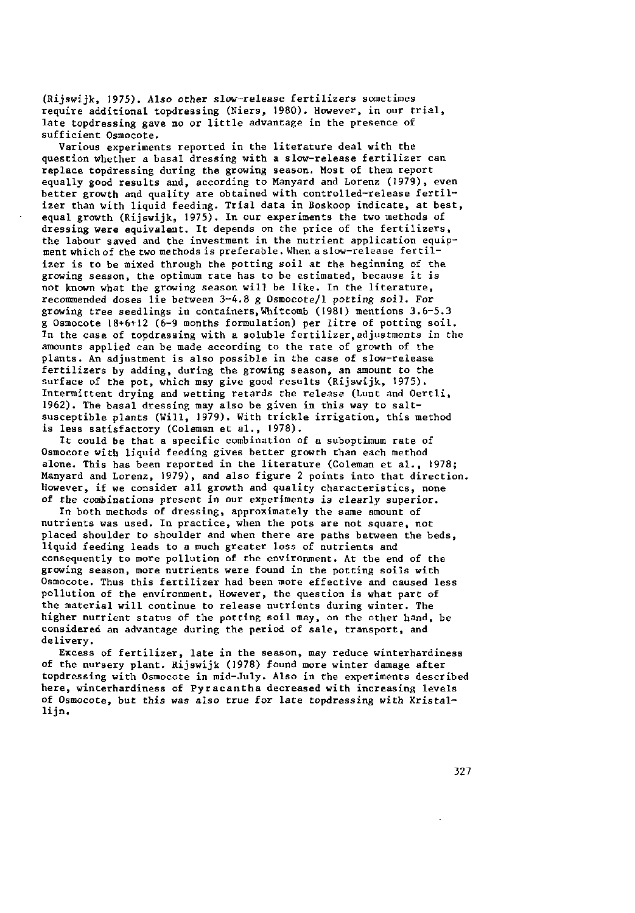(Rijswijk, 1975). Also other slow-release fertilizers sometimes require additional topdressing (Niers, 1980). However, in our trial, late topdressing gave no or little advantage in the presence of sufficient Osmocote.

Various experiments reported in the literature deal with the question whether a basal dressing with a slow-release fertilizer can replace topdressing during the growing season. Most of them report equally good results and, according to Manyard and Lorenz (1979), even better growth and quality are obtained with controlled-release fertilizer than with liquid feeding. Trial data in Boskoop indicate, at best, equal growth (Rijswijk, 1975). In our experiments the two methods of dressing were equivalent. It depends on the price of the fertilizers, the labour saved and the investment in the nutrient application equipment which of the two methods is preferable. When a slow-release fertilizer is to be mixed through the potting soil at the beginning of the growing season, the optimum rate has to be estimated, because it is not known what the growing season will be like. In the literature, recommended doses lie between 3-4.8 g Osmocote/1 potting soil. For growing tree seedlings in containers, Whitcomb (1981) mentions 3.6-5.3 g Osmocote 18+6+12 (6-9 months formulation) per litre of potting soil. In the case of topdressing with a soluble fertilizer,adjustments in the amounts applied can be made according to the rate of growth of the plants. An adjustment is also possible in the case of slow-release fertilizers by adding, during the growing season, an amount to the surface of the pot, which may give good results (Rijswijk, 1975). Intermittent drying and wetting retards the release (Lunt and Oertli, 1962). The basal dressing may also be given in this way to saltsusceptible plants (Will, 1979). With trickle irrigation, this method is less satisfactory (Coleman et al., 1978).

It could be that a specific combination of a suboptimum rate of Osmocote with liquid feeding gives better growth than each method alone. This has been reported in the literature (Coleman et al., 1978; Manyard and Lorenz, 1979), and also figure 2 points into that direction. However, if we consider all growth and quality characteristics, none of the combinations present in our experiments is clearly superior.

In both methods of dressing, approximately the same amount of nutrients was used. In practice, when the pots are not square, not placed shoulder to shoulder and when there are paths between the beds, liquid feeding leads to a much greater loss of nutrients and consequently to more pollution of the environment. At the end of the growing season, more nutrients were found in the potting soils with Osmocote. Thus this fertilizer had been more effective and caused less pollution of the environment. However, the question is what part of the material will continue to release nutrients during winter. The higher nutrient status of the potting soil may, on the other hand, be considered an advantage during the period of sale, transport, and delivery.

Excess of fertilizer, late in the season, may reduce winterhardiness of the nursery plant. Rijswijk (1978) found more winter damage after topdressing with Osmocote in mid-July. Also in the experiments described here, winterhardiness of Pyracantha decreased with increasing levels of Osmocote, but this was also true for late topdressing with Kristallijn.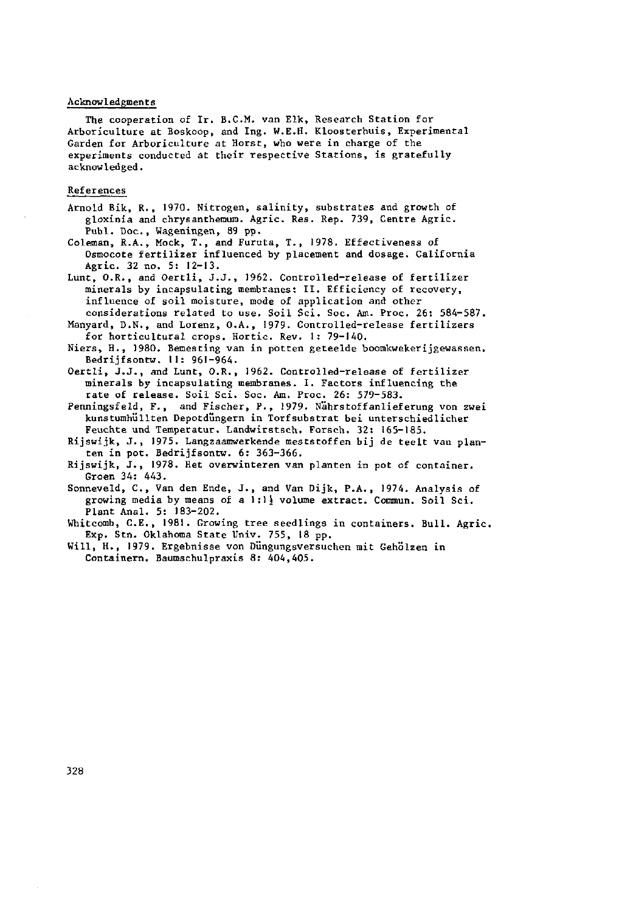#### Acknowledgments

The cooperation of Ir. B.C.M. van Elk, Research Station for Arboriculture at Boskoop, and Ing. W.E.H. Kloosterhuis, Experimental Garden for Arboriculture at Horst, who were in charge of the experiments conducted at their respective Stations, is gratefully acknowledged.

#### References

Arnold Bik, R., 1970. Nitrogen, salinity, substrates and growth of gloxinia and chrysanthemum. Agric. Res. Rep. 739, Centre Agric. Publ. Doc., Wageningen, 89 pp.

Coleman, R.A., Mock, T., and Furuta, T., 1978. Effectiveness of Osmocote fertilizer influenced by placement and dosage. California Agric. 32 no. 5: 12-13.

Lunt, O.R., and Oertli, J.J., 1962. Controlled-release of fertilizer minerals by incapsulating membranes: II. Efficiency of recovery, influence of soil moisture, mode of application and other considerations related to use. Soil Sei. Soc. Am. Proc. 26: 584-587.

Manyard, D.N., and Lorenz, O.A., 1979. Controlled-release fertilizers for horticultural crops. Hortic. Rev. 1: 79-140.

Niers, H., 1980. Bemesting van in potten geteelde boomkwekerijgewassen. Bedrijfsontw. 11: 961-964.

Oertli, J.J., and Lunt, O.R., 1962. Controlled-release of fertilizer minerals by incapsulating membranes. I. Factors influencing the rate of release. Soil Sei. Soc. Am. Proc. 26: 579-583.

Penningsfeld, F., and Fischer, P., 1979. Nährstoffanlieferung von zwei kunstumhüllten Depotdüngern in Torfsubstrat bei unterschiedlicher Feuchte und Temperatur. Landwirstsch. Forsch. 32: 165-185.

Rijswijk, J., 1975. Langzaamwerkende meststoffen bij de teelt van planten in pot. Bedrijfsontw. 6: 363-366.

Rijswijk, J., 1978. Het overwinteren van planten in pot of container. Groen 34: 443.

Sonneveld, C., Van den Ende, J., and Van Dijk, P.A., 1974. Analysis of growing media by means of a 1:1 $\frac{1}{2}$  volume extract. Commun. Soil Sci. Plant Anal. 5: 183-202.

Whitcomb, C.E., 1981. Growing tree seedlings in containers. Bull. Agric. Exp. Stn. Oklahoma State Univ. 755, 18 pp.

Will, H., 1979. Ergebnisse von Düngungsversuchen mit Gehölzen in Containern. Baumschulpraxis 8: 404,405.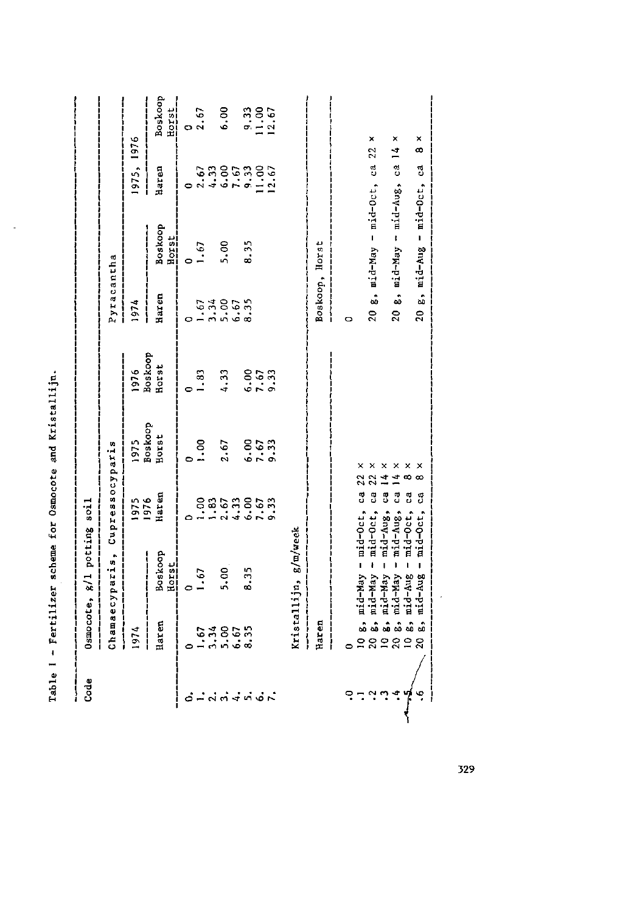| $-$ c $+$ 2<br>Ĩ.   |  |
|---------------------|--|
| and                 |  |
| J<br>ì              |  |
| $For$ Den<br>)<br>( |  |
| lizer scheme        |  |
| j<br>$-\frac{1}{2}$ |  |
| ı<br>ì              |  |
|                     |  |
|                     |  |

 $\sim$ 

|                                                                                                                        |                              | Chamaecyparis, Cupressocyparis                                                                                                                                                             |                       |                          |                          | Pyracantha     |                                                     |           |                             |
|------------------------------------------------------------------------------------------------------------------------|------------------------------|--------------------------------------------------------------------------------------------------------------------------------------------------------------------------------------------|-----------------------|--------------------------|--------------------------|----------------|-----------------------------------------------------|-----------|-----------------------------|
|                                                                                                                        | 1974                         |                                                                                                                                                                                            | 1975<br>1976<br>Haren |                          |                          | ۱<br>1974      |                                                     | 975, 1976 |                             |
|                                                                                                                        | Haren                        | Boskoop<br><u>Horst</u>                                                                                                                                                                    |                       | 1975<br>Boskoop<br>Horst | 1976<br>Boskoop<br>Horst | Haren<br> <br> | Boskoop<br><u>Horst</u>                             | Haren     | Boskoop<br>Horst            |
|                                                                                                                        |                              |                                                                                                                                                                                            |                       |                          |                          |                |                                                     |           |                             |
|                                                                                                                        |                              | 1.67                                                                                                                                                                                       |                       | $\frac{8}{10}$           | 1.83                     |                | 6.1                                                 |           | 0.67                        |
|                                                                                                                        |                              |                                                                                                                                                                                            |                       |                          |                          |                |                                                     |           |                             |
| $\ddot{o}$ $\dot{=}$ $\ddot{o}$ $\ddot{o}$ $\dot{+}$ $\ddot{o}$ $\ddot{o}$ $\ddot{o}$ $\ddot{o}$ $\ddot{o}$ $\ddot{o}$ | $-3,80,55$<br>$-3,80,55$     | 5.00                                                                                                                                                                                       | e sacasca<br>Sacasca  | 2.67                     | 4.33                     | 0.5780750      | 5.00                                                |           | 6.00                        |
|                                                                                                                        |                              | 8.35                                                                                                                                                                                       |                       |                          |                          |                | 8.35                                                |           |                             |
|                                                                                                                        |                              |                                                                                                                                                                                            |                       | $6.67$<br>9.33           | $6.67$<br>$9.33$         |                |                                                     |           | $9.33$<br>$1.36$<br>$12.67$ |
|                                                                                                                        |                              |                                                                                                                                                                                            |                       |                          |                          |                |                                                     |           |                             |
|                                                                                                                        |                              | Kristallijn, g/m/week                                                                                                                                                                      |                       |                          |                          |                |                                                     |           |                             |
|                                                                                                                        | Haren                        |                                                                                                                                                                                            |                       |                          |                          | Boskoop, Horst |                                                     |           |                             |
|                                                                                                                        |                              |                                                                                                                                                                                            |                       |                          |                          | Ó              |                                                     |           |                             |
| $6 - 44.4$                                                                                                             | $\bm{5}$<br><u>តំនឹតខាន់</u> | , mid-May - mid-Oct, ca 22 x<br>a mid-May - mid-Oct, ca 22 x<br>a mid-May - mid-Aug, ca 14 x<br>, mid-May - mid-Aug, ca 14 x<br>, mid-Aug - mid-Oct, ca 8 x<br>, mid-Aug - mid-Oct, ca 8 x |                       |                          |                          |                | 20 $g_s$ , $mid-May$ - $mid-Oct$ , $ca$ 22 $\times$ |           |                             |
|                                                                                                                        | .<br>ထိုက်လ်                 |                                                                                                                                                                                            |                       | ×                        |                          |                | 20 g, mid-May - mid-Aug, ca 14                      |           | ×                           |
| ò.                                                                                                                     | $\frac{1}{60}$               |                                                                                                                                                                                            |                       | ×                        |                          |                | 20 g, $mid-d-Aug - mid-Oct$ ; ca                    |           | ×<br>œ                      |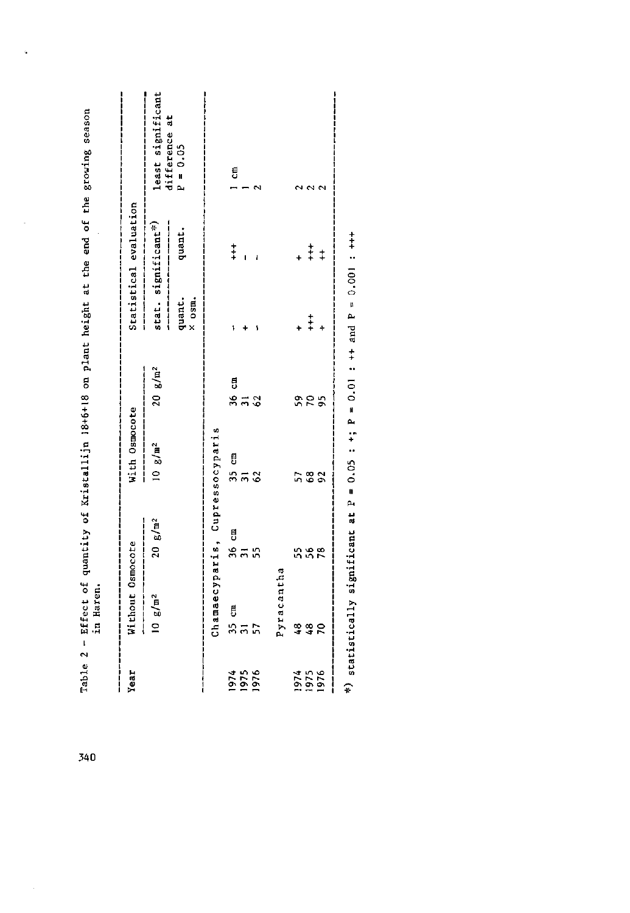| Year                 | Without Osmocote    |                                                            | With Osmocote       |                            |                         | Statistical evaluation                                            |                             |
|----------------------|---------------------|------------------------------------------------------------|---------------------|----------------------------|-------------------------|-------------------------------------------------------------------|-----------------------------|
|                      | 10 g/m <sup>2</sup> | $20 g/m^2$<br><b>│││││</b><br>││││││││││││││││││││││││││││ | 10 g/m <sup>2</sup> | $20 g/m^2$                 | $\frac{1}{2}$           | stat. significant*)<br> <br> <br> <br> <br>---------------------- | least significant           |
|                      |                     |                                                            |                     |                            | quant.<br>$\times$ osm. | quant                                                             | difference at<br>$P = 0.05$ |
|                      |                     | Chamaecyparis, Cupressocyparis                             |                     |                            |                         |                                                                   |                             |
|                      |                     |                                                            |                     |                            |                         | $\ddagger$                                                        | i c⊞                        |
| 1974                 | ង<br>ភីភី<br>ភីភី   | ទី<br>អំដូង                                                | គឺ<br>អ៊ីកូឌ        | គឺ<br>ងកង                  |                         |                                                                   |                             |
| 1976                 |                     |                                                            |                     |                            |                         |                                                                   | 2                           |
|                      | Pyracantha          |                                                            |                     |                            |                         |                                                                   |                             |
|                      |                     |                                                            | 57                  |                            |                         |                                                                   |                             |
| 1974<br>1976<br>1976 | 8<br>44<br>7        | 5<br>556<br>55                                             | $\mathbf{63}$       | 9<br>9<br>9<br>9<br>9<br>9 | $\frac{1}{1}$           | $\frac{1}{1}$                                                     | $\sim$ $\sim$               |
|                      |                     |                                                            | 92                  |                            |                         | $\ddagger$                                                        |                             |

Table 2 - Effect of quantity of Kristallijn 18+6+18 on plant height at the end of the growing season

í.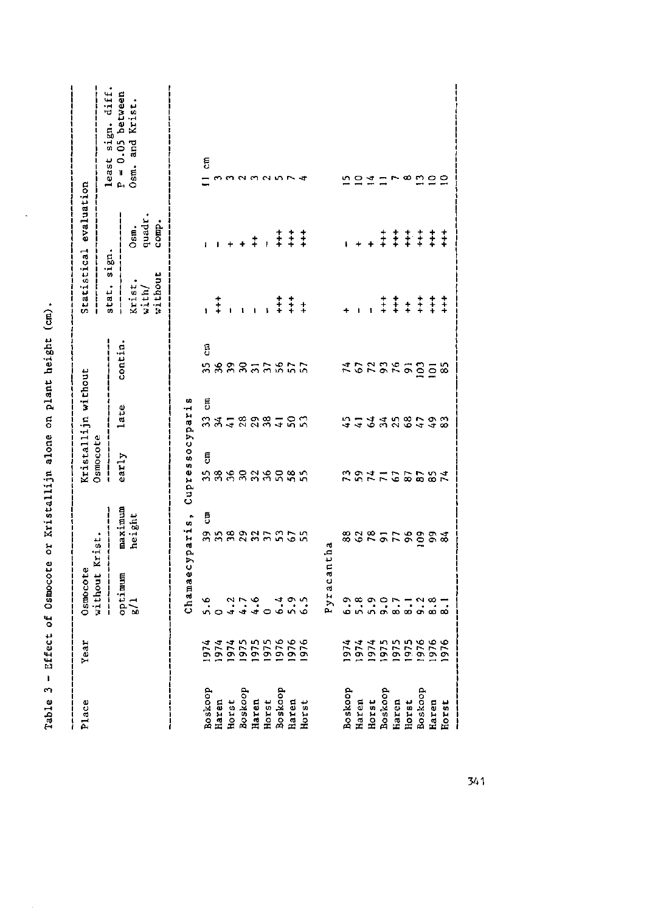| Place            | Year | Osmocote                                                                                                 |                   |                 | Kristallijn without    |                   |                            | Statistical evaluation  |                                       |
|------------------|------|----------------------------------------------------------------------------------------------------------|-------------------|-----------------|------------------------|-------------------|----------------------------|-------------------------|---------------------------------------|
|                  |      | without Krist.<br>$\begin{array}{c} \n\cdot & \cdot \\ \n\cdot & \cdot \\ \n\cdot & \cdot \n\end{array}$ |                   | Osmocote        |                        |                   | stat. sign.                |                         | least sign. diff.                     |
|                  |      | optimum<br>g/1                                                                                           | maximum<br>height | early           | late                   | contin.           | Krist.<br>with/<br>without | Osm.<br>quadr.<br>comp. | $P = 0.05$ between<br>Osm. and Krist. |
|                  |      |                                                                                                          | Chamaecyparis,    | Cupressocyparis |                        |                   |                            |                         |                                       |
|                  |      | 5.6                                                                                                      | Ę                 | ã               |                        | ដូ                |                            |                         | g                                     |
| Boskoop<br>Haren |      |                                                                                                          |                   |                 |                        |                   | $\ddagger$ ,               |                         | <b>CO</b>                             |
| Horst            |      |                                                                                                          |                   |                 |                        |                   |                            |                         | ൚                                     |
| Boskoop          |      | 4440                                                                                                     | <b>333335</b>     | n<br>888888888  | គ<br>ងងក្នុងខ្លួងក្នុង | <b>BBBB555555</b> |                            |                         | $\sim$                                |
| Haren            |      |                                                                                                          |                   |                 |                        |                   |                            | $\ddagger$              | $\sim$                                |
| Horst            |      |                                                                                                          |                   |                 |                        |                   |                            |                         | $\sim$ m                              |
| Boskoop          |      |                                                                                                          | 53                |                 |                        |                   | $\ddagger$                 |                         |                                       |
| Haren            |      | $\frac{4}{9}$ $\frac{6}{9}$                                                                              |                   |                 |                        |                   | $\ddagger$                 | $\ddagger$ $\ddagger$   |                                       |
| Horst            |      |                                                                                                          |                   |                 |                        |                   | $\ddagger$                 | $\ddagger$              |                                       |
|                  |      | Pyracantha                                                                                               |                   |                 |                        |                   |                            |                         |                                       |
| Boskoop          |      |                                                                                                          |                   | 23              |                        |                   |                            |                         |                                       |
| Haren            |      |                                                                                                          |                   | $53 +$          |                        |                   |                            |                         | 554                                   |
| Horst            |      |                                                                                                          | <b>8285F\$283</b> |                 | 543356448              | <b>ADREASES</b>   |                            |                         |                                       |
| Boskoop          |      |                                                                                                          |                   |                 |                        |                   | $\ddagger$                 | $\ddagger$              |                                       |
| Haren            |      |                                                                                                          |                   |                 |                        |                   | $\ddagger$                 |                         | r ∞                                   |
| Horst            |      |                                                                                                          |                   |                 |                        |                   | $\ddagger$                 |                         |                                       |
| Boskoop          |      |                                                                                                          |                   |                 |                        |                   | $\ddagger$                 |                         |                                       |
| Haren            |      |                                                                                                          |                   | <b>7022071</b>  |                        |                   | $\ddagger$                 | <b>!!!!!</b>            | 222                                   |
| Horst            |      |                                                                                                          |                   |                 |                        |                   | $\ddot{+}$                 |                         |                                       |
|                  |      |                                                                                                          |                   |                 |                        |                   |                            |                         |                                       |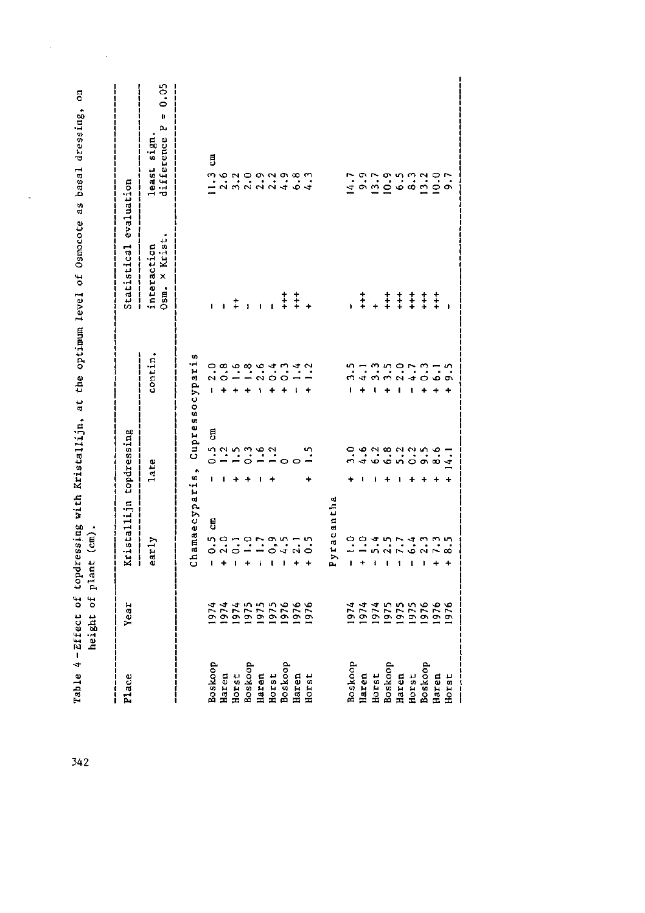|                                                                   | height of plant (cm).        |                         |                                       |         |                              |                                                                                                                                                                                                                                                                                                                     |
|-------------------------------------------------------------------|------------------------------|-------------------------|---------------------------------------|---------|------------------------------|---------------------------------------------------------------------------------------------------------------------------------------------------------------------------------------------------------------------------------------------------------------------------------------------------------------------|
| Place                                                             | Year                         | Kristallijn topdressing |                                       |         | Statistical evaluation       |                                                                                                                                                                                                                                                                                                                     |
|                                                                   |                              | early                   | late                                  | contin. | Osm. × Krist.<br>interaction | difference $P = 0.05$<br>least sign.                                                                                                                                                                                                                                                                                |
|                                                                   |                              |                         | Chamaecyparis, Cupressocyparis        |         |                              |                                                                                                                                                                                                                                                                                                                     |
| Boskoop<br>Haren                                                  | .974                         | g<br>í.                 | ã                                     |         |                              | Ę                                                                                                                                                                                                                                                                                                                   |
|                                                                   |                              |                         | $\mathbf{I}$                          |         |                              |                                                                                                                                                                                                                                                                                                                     |
| Horst<br>Boskoop<br>Boskoop<br>Haren<br>Boskoop<br>Baxen<br>Haren | 1974<br>1975<br>1975<br>1976 | $\mathbf{I}$            | $-1.00000$                            |         | $1 + 1$                      |                                                                                                                                                                                                                                                                                                                     |
|                                                                   |                              |                         |                                       |         |                              |                                                                                                                                                                                                                                                                                                                     |
|                                                                   |                              |                         |                                       |         |                              |                                                                                                                                                                                                                                                                                                                     |
|                                                                   |                              | Ĭ.                      |                                       |         | $\overline{1}$               |                                                                                                                                                                                                                                                                                                                     |
|                                                                   |                              |                         |                                       |         |                              |                                                                                                                                                                                                                                                                                                                     |
|                                                                   |                              |                         |                                       |         | $\ddagger \ddagger$ .        |                                                                                                                                                                                                                                                                                                                     |
| Horst                                                             |                              | $\ddot{}$               | 1.5                                   |         |                              |                                                                                                                                                                                                                                                                                                                     |
|                                                                   |                              | Pyracantha              |                                       |         |                              |                                                                                                                                                                                                                                                                                                                     |
|                                                                   |                              | $-1.0$                  |                                       |         |                              |                                                                                                                                                                                                                                                                                                                     |
| Boskoop<br>Haren                                                  |                              | $\ddot{ }$ .0           | $0.9.9.9.9.9.9.9.7.$ $0.4.9.9.9.9.4.$ |         | .‡.‡‡‡‡‡;                    | $\frac{1}{4}$ $\frac{5}{1}$ $\frac{5}{1}$ $\frac{5}{1}$ $\frac{5}{1}$ $\frac{5}{1}$ $\frac{5}{1}$ $\frac{5}{1}$ $\frac{3}{1}$ $\frac{5}{1}$ $\frac{3}{1}$ $\frac{5}{1}$ $\frac{3}{1}$ $\frac{5}{1}$ $\frac{3}{1}$ $\frac{5}{1}$ $\frac{3}{1}$ $\frac{5}{1}$ $\frac{3}{1}$ $\frac{5}{1}$ $\frac{3}{1}$ $\frac{5}{1}$ |
|                                                                   |                              | $\mathbf{I}$            |                                       |         |                              |                                                                                                                                                                                                                                                                                                                     |
| Horst<br>Boskoop                                                  |                              |                         |                                       |         |                              |                                                                                                                                                                                                                                                                                                                     |
| Haren                                                             |                              | $40 - 40$<br>$0.0 - 40$ |                                       |         |                              |                                                                                                                                                                                                                                                                                                                     |
| Horst<br>Boskoop                                                  |                              |                         |                                       |         |                              |                                                                                                                                                                                                                                                                                                                     |
|                                                                   |                              |                         |                                       |         |                              |                                                                                                                                                                                                                                                                                                                     |
| Haren                                                             |                              |                         |                                       |         |                              |                                                                                                                                                                                                                                                                                                                     |
| Horst                                                             |                              |                         |                                       |         |                              |                                                                                                                                                                                                                                                                                                                     |
|                                                                   |                              |                         |                                       |         |                              |                                                                                                                                                                                                                                                                                                                     |

Ï

 $\cdot$  $\vdots$  $x + h$   $y = 1$  $\frac{1}{\epsilon}$ .<br>مار<br>مار  $Tahla = h = Fffart$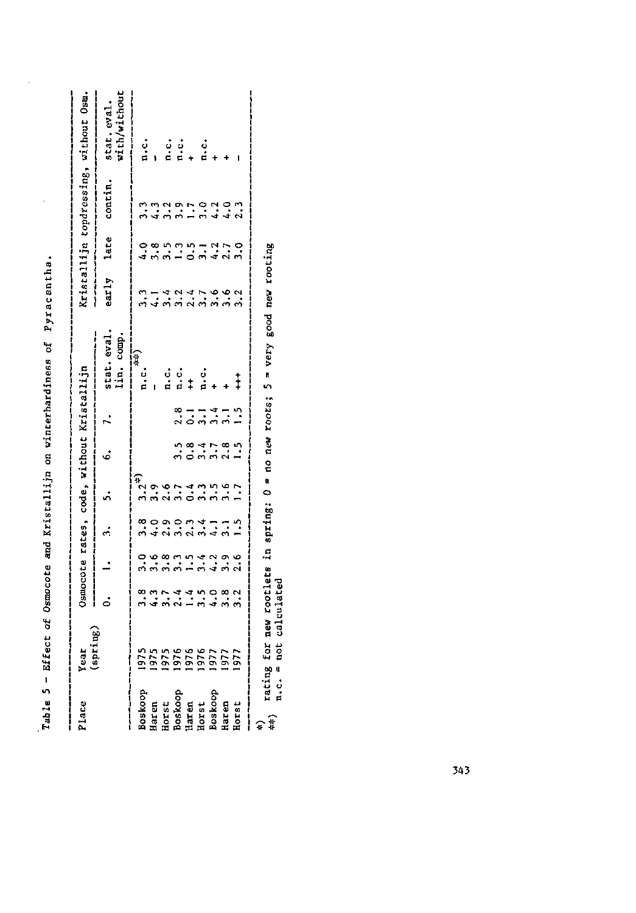| Kristallijn topdressing, without Osm.<br>$\begin{array}{ccc} \dot{\circ} & \dot{\circ} & \dot{\circ} & \dot{\circ} \\ \dot{\circ} & \dot{\circ} & \dot{\circ} & \dot{\circ} \\ \end{array}$<br>early late contin.<br>$\ddot{q}$ $\ddot{m}$ $\ddot{m}$ $\ddot{m}$ $\ddot{m}$ $\ddot{m}$ $\ddot{m}$ $\ddot{m}$ $\ddot{m}$ $\ddot{m}$<br>stat. eval.<br>Iin. comp.<br>$\frac{1}{2}$<br>$\frac{1}{2}$<br>$\frac{1}{1}$ $\frac{1}{1}$ $\frac{1}{1}$ $\frac{1}{1}$ $\frac{1}{1}$ $\frac{1}{1}$ $\frac{1}{1}$ $\frac{1}{1}$ $\frac{1}{1}$ $\frac{1}{1}$<br>$0.$ 1. 3. 5. 6. 7.<br>$8 - - - - -$<br>$0 - - - -$<br>$n \alpha$ $4 \, r \, \alpha \, n$<br>$n \, \alpha \, m \, n \, n$<br>$\frac{1}{2}$<br>o communico<br>Communicação<br>$\begin{array}{cccc}\n\hline\n\alpha & \eta & \eta & \tau & \tau & \tau & \tau & \tau & \tau \\ \hline\n\sigma & \eta & \eta & \tau & \tau & \tau & \tau & \tau & \tau & \tau\n\end{array}$<br>(spring)<br><b>1925</b><br>1925 1926<br>1927 1927 1927<br>Boskoop<br>Haren<br>Harst<br>Boskoop<br>Boskoop<br>Haren<br>Boskoop<br>Boskoop<br>Baren<br>Harst | Place | Year |  |  | Osmocote rates, code, without Kristallijn |  |  |                            |
|--------------------------------------------------------------------------------------------------------------------------------------------------------------------------------------------------------------------------------------------------------------------------------------------------------------------------------------------------------------------------------------------------------------------------------------------------------------------------------------------------------------------------------------------------------------------------------------------------------------------------------------------------------------------------------------------------------------------------------------------------------------------------------------------------------------------------------------------------------------------------------------------------------------------------------------------------------------------------------------------------------------------------------------------------------------------------------------------|-------|------|--|--|-------------------------------------------|--|--|----------------------------|
|                                                                                                                                                                                                                                                                                                                                                                                                                                                                                                                                                                                                                                                                                                                                                                                                                                                                                                                                                                                                                                                                                            |       |      |  |  |                                           |  |  | stat.eval.<br>with/without |
|                                                                                                                                                                                                                                                                                                                                                                                                                                                                                                                                                                                                                                                                                                                                                                                                                                                                                                                                                                                                                                                                                            |       |      |  |  |                                           |  |  |                            |
|                                                                                                                                                                                                                                                                                                                                                                                                                                                                                                                                                                                                                                                                                                                                                                                                                                                                                                                                                                                                                                                                                            |       |      |  |  |                                           |  |  |                            |
|                                                                                                                                                                                                                                                                                                                                                                                                                                                                                                                                                                                                                                                                                                                                                                                                                                                                                                                                                                                                                                                                                            |       |      |  |  |                                           |  |  |                            |
|                                                                                                                                                                                                                                                                                                                                                                                                                                                                                                                                                                                                                                                                                                                                                                                                                                                                                                                                                                                                                                                                                            |       |      |  |  |                                           |  |  |                            |
|                                                                                                                                                                                                                                                                                                                                                                                                                                                                                                                                                                                                                                                                                                                                                                                                                                                                                                                                                                                                                                                                                            |       |      |  |  |                                           |  |  |                            |
|                                                                                                                                                                                                                                                                                                                                                                                                                                                                                                                                                                                                                                                                                                                                                                                                                                                                                                                                                                                                                                                                                            |       |      |  |  |                                           |  |  |                            |
|                                                                                                                                                                                                                                                                                                                                                                                                                                                                                                                                                                                                                                                                                                                                                                                                                                                                                                                                                                                                                                                                                            |       |      |  |  |                                           |  |  |                            |
|                                                                                                                                                                                                                                                                                                                                                                                                                                                                                                                                                                                                                                                                                                                                                                                                                                                                                                                                                                                                                                                                                            |       |      |  |  |                                           |  |  |                            |
|                                                                                                                                                                                                                                                                                                                                                                                                                                                                                                                                                                                                                                                                                                                                                                                                                                                                                                                                                                                                                                                                                            |       |      |  |  |                                           |  |  |                            |

Table 5 - Effect of Osmocote and Kristallijn on winterhardiness of Pyracantha.

 $\hat{\boldsymbol{\beta}}$ 

l,

 $\widehat{\ast}$ 

rating for new rootlets in spring: 0 = no new roots; 5 = very good new rooting<br>n.c. = not calculated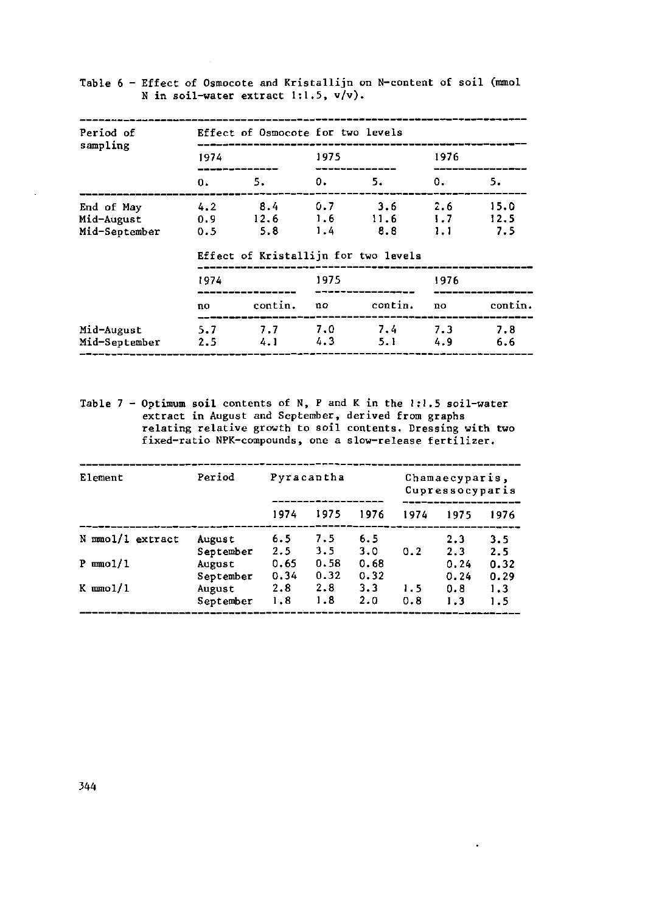| Period of                                 |                   | Effect of Osmocote for two levels |                   |                                      |                   |                     |
|-------------------------------------------|-------------------|-----------------------------------|-------------------|--------------------------------------|-------------------|---------------------|
| sampling                                  | 1974              |                                   | 1975              |                                      | 1976              |                     |
|                                           | 0.                | 5.                                | 0.                | 5.                                   | 0.                | 5.                  |
| End of May<br>Mid-August<br>Mid-September | 4.2<br>0.9<br>0.5 | - 8.4<br>12.6<br>5.8              | 0.7<br>1.6<br>1.4 | 3.6<br>11.6<br>8.8                   | 2.6<br>1.7<br>1.1 | 15.0<br>12.5<br>7.5 |
|                                           | 1974              |                                   | 1975              | Effect of Kristallijn for two levels | 1976              |                     |
|                                           | no                | contin.                           | no                | contin.                              | no                | contin.             |
| Mid-August<br>Mid-September               | 5.7<br>2.5        | 7.7<br>4.1                        | 7.0<br>4.3        | 7.4<br>5. 1                          | 7.3<br>4.9        | 7.8<br>6.6          |

Table 6 - Effect of Osmocote and Kristallijn on N-content of soil (mmol N in soil-water extract 1:1.5, v/v).

Table 7 - Optimum soil contents of N, P and K in the 1:1.5 soil-water extract in August and September, derived from graphs relating relative growth to soil contents. Dressing with two fixed-ratio NPK-compounds, one a slow-release fertilizer.

| Element          | Period              |              | Pyracantha   |              |            | Chamaecyparis,<br>Cupressocyparis |              |
|------------------|---------------------|--------------|--------------|--------------|------------|-----------------------------------|--------------|
|                  |                     | 1974         | 1975         | 1976         | 1974       | 1975                              | 1976         |
| N mmol/1 extract | August<br>September | 6.5<br>2.5   | 7.5<br>3.5   | 6.5<br>3.0   | 0.2        | 2.3<br>2.3                        | 3.5<br>2.5   |
| $P \mod 1$       | August<br>September | 0.65<br>0.34 | 0.58<br>0.32 | 0.68<br>0.32 |            | 0.24<br>0.24                      | 0.32<br>0.29 |
| $K$ mmol/1       | August<br>September | 2.8<br>1.8   | 2.8<br>1.8   | 3.3<br>2.0   | 1.5<br>0.8 | 0.8<br>1.3                        | 1.3<br>1.5   |

 $\ddot{\phantom{a}}$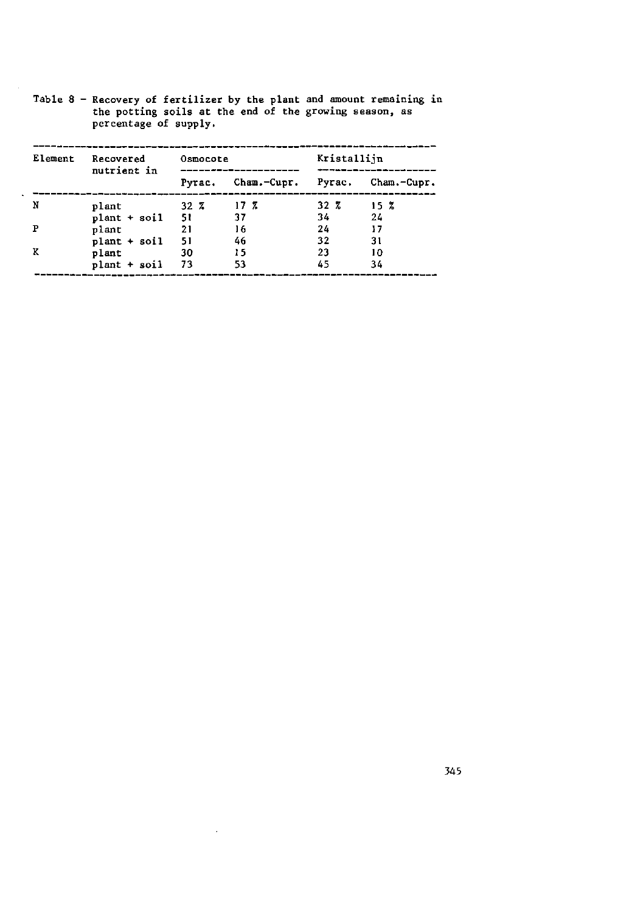| Element | Recovered         | Osmocote |                                       | Kristallijn |        |
|---------|-------------------|----------|---------------------------------------|-------------|--------|
|         | nutrient in       |          | Pyrac. Cham.-Cupr. Pyrac. Cham.-Cupr. |             |        |
| N       | plant             | $-32\,7$ | 17 <sub>z</sub>                       | $32\,Z$     | - 15 Z |
|         | $plant + soil$ 51 |          | - 37                                  | 34          | 24     |
|         | plant             | $-21$    | 16                                    | 24          | 17     |
|         | $plant + soilt$   | 51       | -46                                   | 32          | 31     |
|         | plant             | 30       | 15                                    | 23          | 10     |
|         | plant + soil      | - 73     | 53                                    | 45          | 34     |

L.

Table 8 - Recovery of fertilizer by the plant and amount the potting soils at the end of the growing percentage of suppl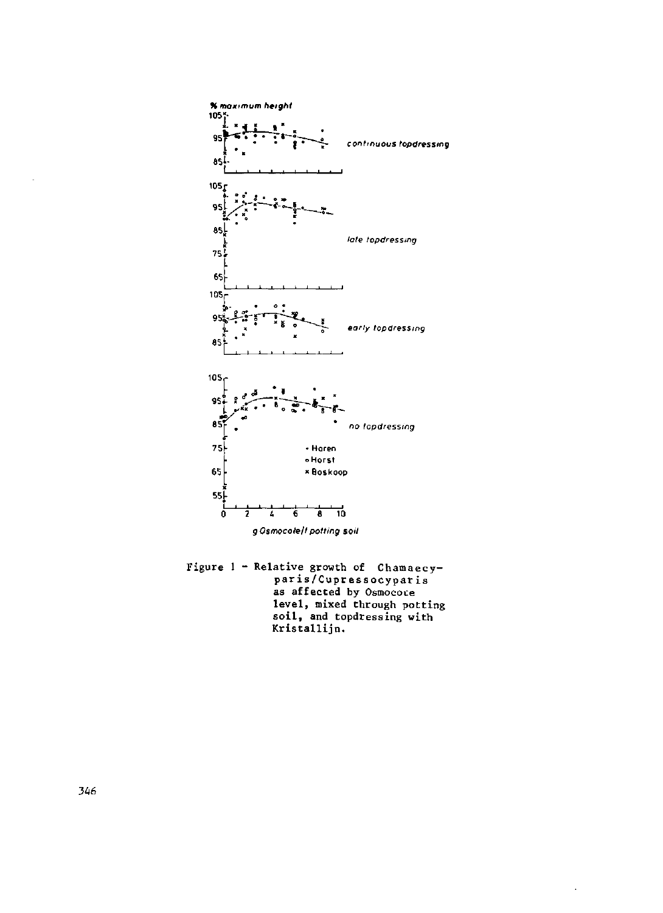

Figure 1 - Relative growth of Chamaecyparis/Cupressocyparis as affected by Osmocove level, mixed through potting soil, and topdressing with Kristallijn.

 $\ddot{\phantom{0}}$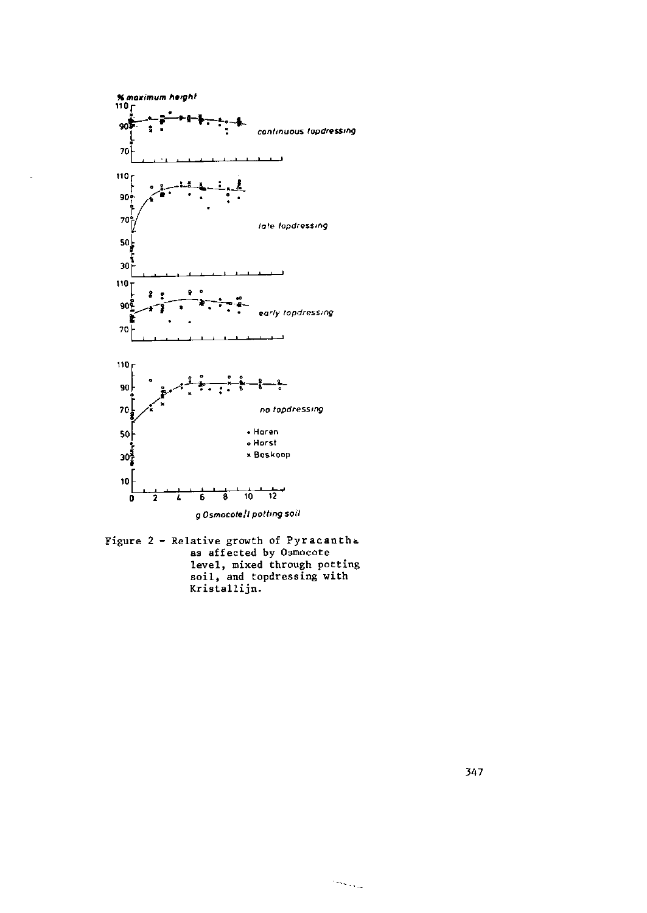

Figure 2 - Relative growth of Pyracantha as affected by Osmocote level, mixed through potting<br>soil, and topdressing with<br>Kristallijn.